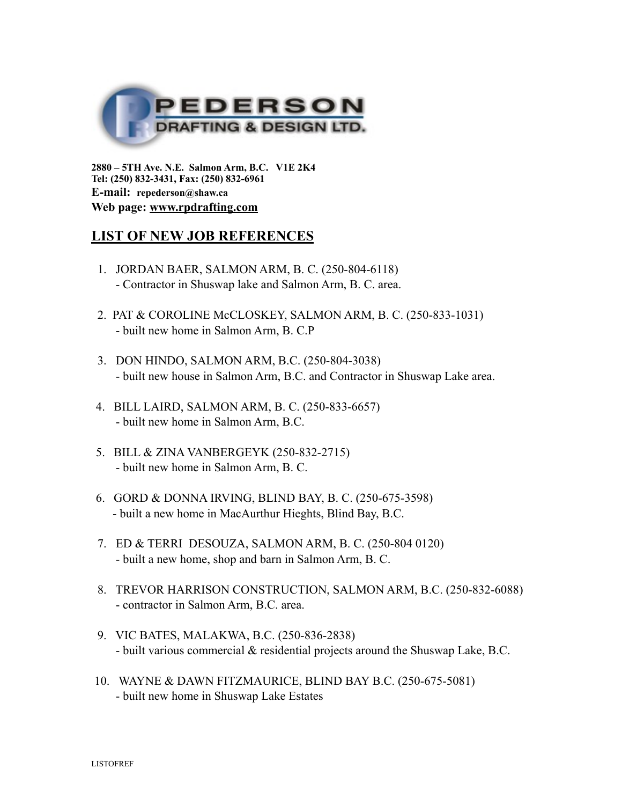

**2880 – 5TH Ave. N.E. Salmon Arm, B.C. V1E 2K4 Tel: (250) 832-3431, Fax: (250) 832-6961 E-mail: repederson@shaw.ca Web page: www.rpdrafting.com**

## **LIST OF NEW JOB REFERENCES**

- 1. JORDAN BAER, SALMON ARM, B. C. (250-804-6118) - Contractor in Shuswap lake and Salmon Arm, B. C. area.
- 2. PAT & COROLINE McCLOSKEY, SALMON ARM, B. C. (250-833-1031) - built new home in Salmon Arm, B. C.P
- 3. DON HINDO, SALMON ARM, B.C. (250-804-3038) - built new house in Salmon Arm, B.C. and Contractor in Shuswap Lake area.
- 4. BILL LAIRD, SALMON ARM, B. C. (250-833-6657) - built new home in Salmon Arm, B.C.
- 5. BILL & ZINA VANBERGEYK (250-832-2715) - built new home in Salmon Arm, B. C.
- 6. GORD & DONNA IRVING, BLIND BAY, B. C. (250-675-3598) - built a new home in MacAurthur Hieghts, Blind Bay, B.C.
- 7. ED & TERRI DESOUZA, SALMON ARM, B. C. (250-804 0120) - built a new home, shop and barn in Salmon Arm, B. C.
- 8. TREVOR HARRISON CONSTRUCTION, SALMON ARM, B.C. (250-832-6088) - contractor in Salmon Arm, B.C. area.
- 9. VIC BATES, MALAKWA, B.C. (250-836-2838) - built various commercial & residential projects around the Shuswap Lake, B.C.
- 10. WAYNE & DAWN FITZMAURICE, BLIND BAY B.C. (250-675-5081) - built new home in Shuswap Lake Estates